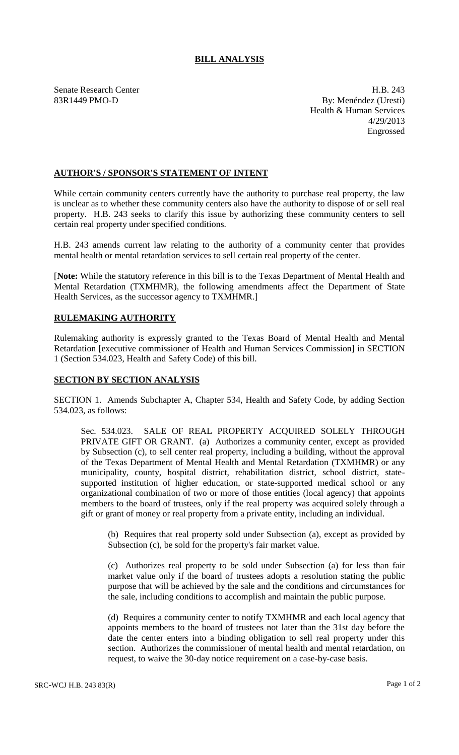## **BILL ANALYSIS**

Senate Research Center **H.B. 243** 83R1449 PMO-D By: Menéndez (Uresti) Health & Human Services 4/29/2013 Engrossed

## **AUTHOR'S / SPONSOR'S STATEMENT OF INTENT**

While certain community centers currently have the authority to purchase real property, the law is unclear as to whether these community centers also have the authority to dispose of or sell real property. H.B. 243 seeks to clarify this issue by authorizing these community centers to sell certain real property under specified conditions.

H.B. 243 amends current law relating to the authority of a community center that provides mental health or mental retardation services to sell certain real property of the center.

[**Note:** While the statutory reference in this bill is to the Texas Department of Mental Health and Mental Retardation (TXMHMR), the following amendments affect the Department of State Health Services, as the successor agency to TXMHMR.]

## **RULEMAKING AUTHORITY**

Rulemaking authority is expressly granted to the Texas Board of Mental Health and Mental Retardation [executive commissioner of Health and Human Services Commission] in SECTION 1 (Section 534.023, Health and Safety Code) of this bill.

## **SECTION BY SECTION ANALYSIS**

SECTION 1. Amends Subchapter A, Chapter 534, Health and Safety Code, by adding Section 534.023, as follows:

Sec. 534.023. SALE OF REAL PROPERTY ACQUIRED SOLELY THROUGH PRIVATE GIFT OR GRANT. (a) Authorizes a community center, except as provided by Subsection (c), to sell center real property, including a building, without the approval of the Texas Department of Mental Health and Mental Retardation (TXMHMR) or any municipality, county, hospital district, rehabilitation district, school district, statesupported institution of higher education, or state-supported medical school or any organizational combination of two or more of those entities (local agency) that appoints members to the board of trustees, only if the real property was acquired solely through a gift or grant of money or real property from a private entity, including an individual.

(b) Requires that real property sold under Subsection (a), except as provided by Subsection (c), be sold for the property's fair market value.

(c) Authorizes real property to be sold under Subsection (a) for less than fair market value only if the board of trustees adopts a resolution stating the public purpose that will be achieved by the sale and the conditions and circumstances for the sale, including conditions to accomplish and maintain the public purpose.

(d) Requires a community center to notify TXMHMR and each local agency that appoints members to the board of trustees not later than the 31st day before the date the center enters into a binding obligation to sell real property under this section. Authorizes the commissioner of mental health and mental retardation, on request, to waive the 30-day notice requirement on a case-by-case basis.